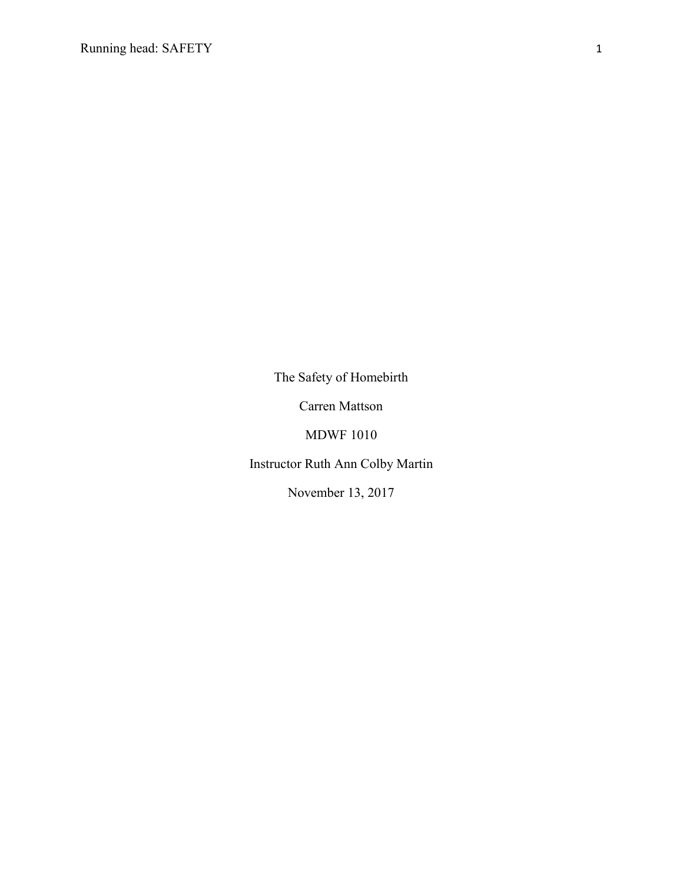The Safety of Homebirth

Carren Mattson

MDWF 1010

Instructor Ruth Ann Colby Martin

November 13, 2017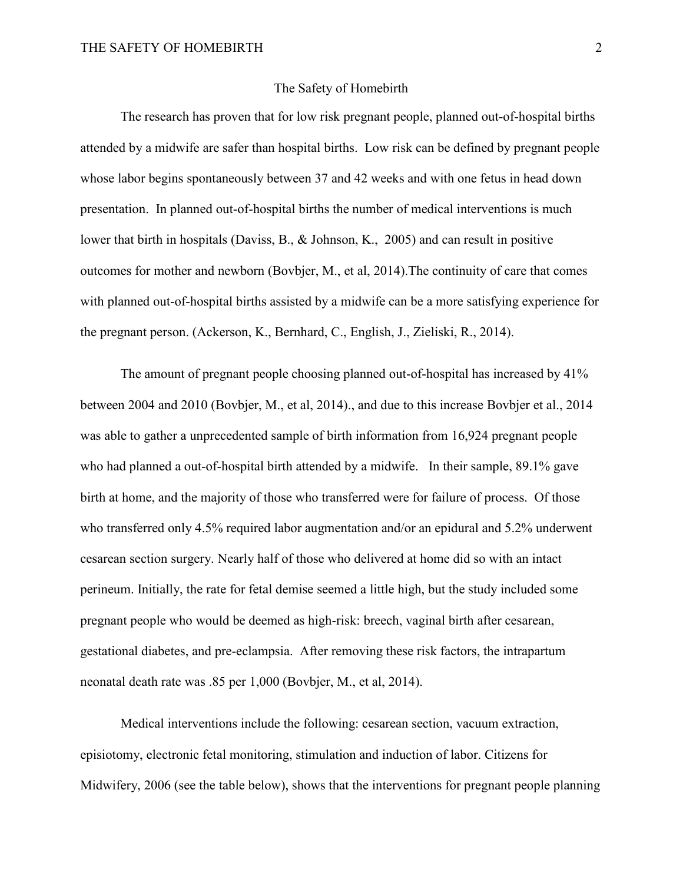## The Safety of Homebirth

The research has proven that for low risk pregnant people, planned out-of-hospital births attended by a midwife are safer than hospital births. Low risk can be defined by pregnant people whose labor begins spontaneously between 37 and 42 weeks and with one fetus in head down presentation. In planned out-of-hospital births the number of medical interventions is much lower that birth in hospitals (Daviss, B., & Johnson, K., 2005) and can result in positive outcomes for mother and newborn (Bovbjer, M., et al, 2014).The continuity of care that comes with planned out-of-hospital births assisted by a midwife can be a more satisfying experience for the pregnant person. (Ackerson, K., Bernhard, C., English, J., Zieliski, R., 2014).

The amount of pregnant people choosing planned out-of-hospital has increased by 41% between 2004 and 2010 (Bovbjer, M., et al, 2014)., and due to this increase Bovbjer et al., 2014 was able to gather a unprecedented sample of birth information from 16,924 pregnant people who had planned a out-of-hospital birth attended by a midwife. In their sample, 89.1% gave birth at home, and the majority of those who transferred were for failure of process. Of those who transferred only 4.5% required labor augmentation and/or an epidural and 5.2% underwent cesarean section surgery. Nearly half of those who delivered at home did so with an intact perineum. Initially, the rate for fetal demise seemed a little high, but the study included some pregnant people who would be deemed as high-risk: breech, vaginal birth after cesarean, gestational diabetes, and pre-eclampsia. After removing these risk factors, the intrapartum neonatal death rate was .85 per 1,000 (Bovbjer, M., et al, 2014).

Medical interventions include the following: cesarean section, vacuum extraction, episiotomy, electronic fetal monitoring, stimulation and induction of labor. Citizens for Midwifery, 2006 (see the table below), shows that the interventions for pregnant people planning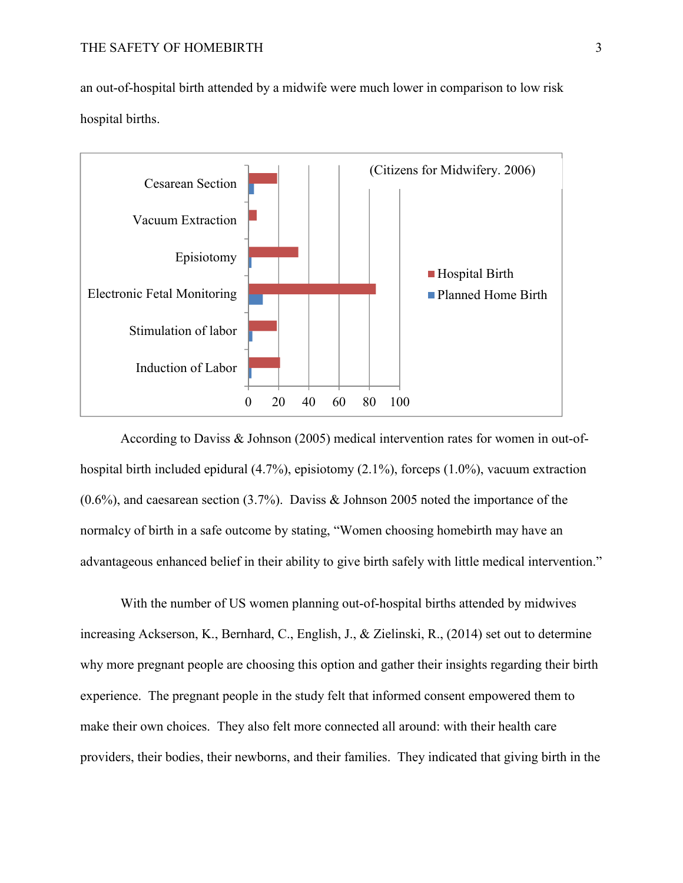an out-of-hospital birth attended by a midwife were much lower in comparison to low risk hospital births.



According to Daviss & Johnson (2005) medical intervention rates for women in out-ofhospital birth included epidural (4.7%), episiotomy (2.1%), forceps (1.0%), vacuum extraction  $(0.6\%)$ , and caesarean section  $(3.7\%)$ . Daviss & Johnson 2005 noted the importance of the normalcy of birth in a safe outcome by stating, "Women choosing homebirth may have an advantageous enhanced belief in their ability to give birth safely with little medical intervention."

With the number of US women planning out-of-hospital births attended by midwives increasing Ackserson, K., Bernhard, C., English, J., & Zielinski, R., (2014) set out to determine why more pregnant people are choosing this option and gather their insights regarding their birth experience. The pregnant people in the study felt that informed consent empowered them to make their own choices. They also felt more connected all around: with their health care providers, their bodies, their newborns, and their families. They indicated that giving birth in the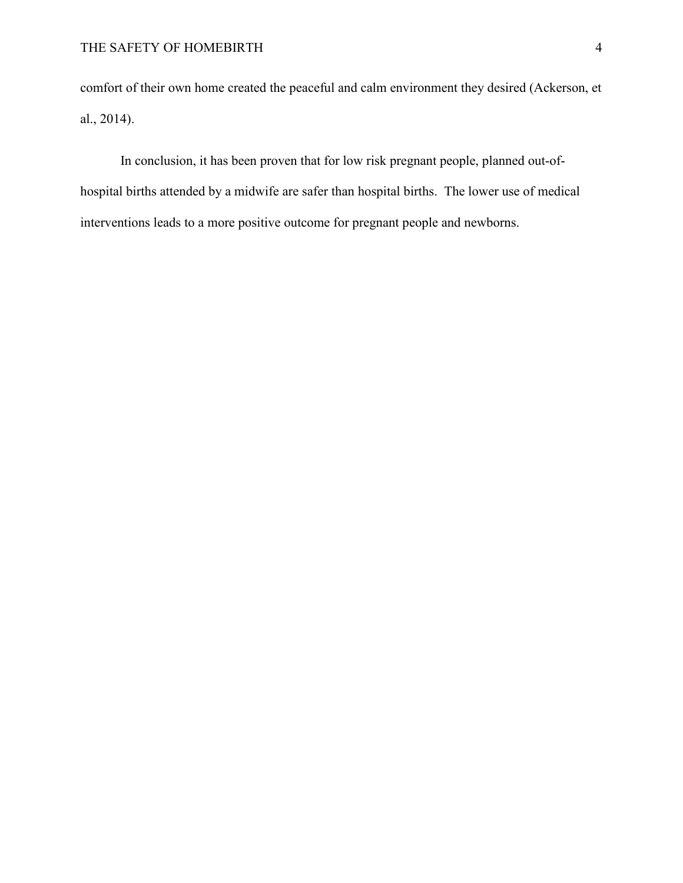comfort of their own home created the peaceful and calm environment they desired (Ackerson, et al., 2014).

In conclusion, it has been proven that for low risk pregnant people, planned out-ofhospital births attended by a midwife are safer than hospital births. The lower use of medical interventions leads to a more positive outcome for pregnant people and newborns.